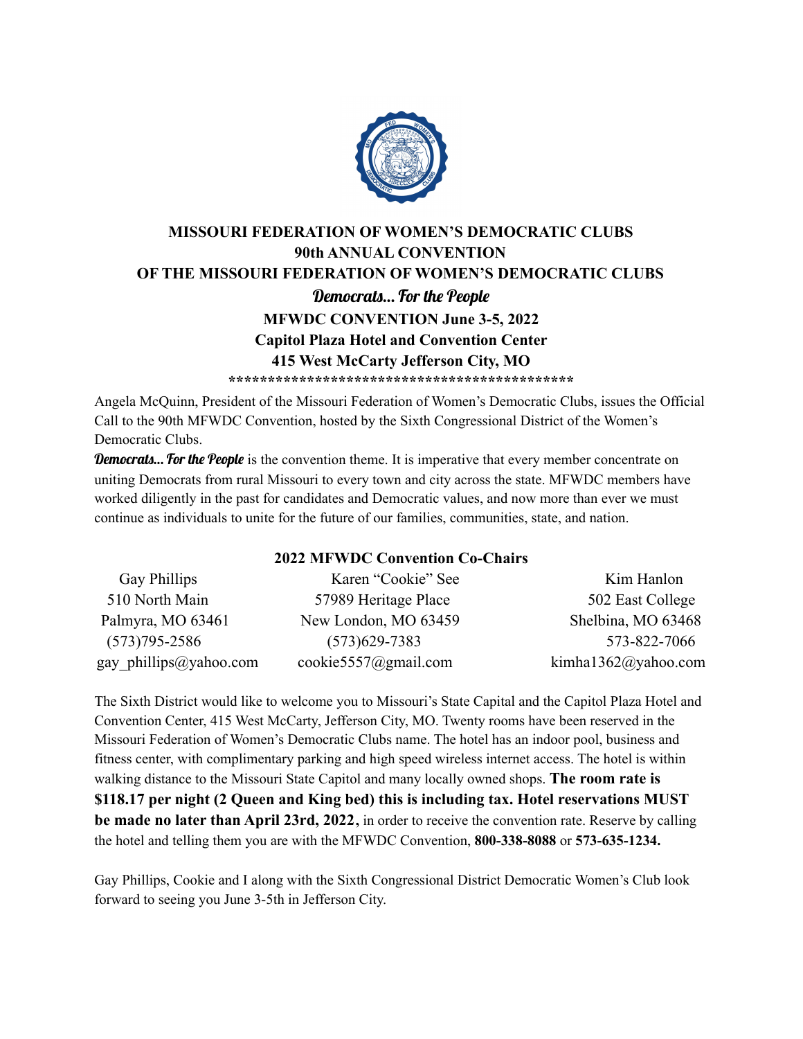

# **MISSOURI FEDERATION OF WOMEN'S DEMOCRATIC CLUBS 90th ANNUAL CONVENTION OF THE MISSOURI FEDERATION OF WOMEN'S DEMOCRATIC CLUBS** Democrats… For the People **MFWDC CONVENTION June 3-5, 2022 Capitol Plaza Hotel and Convention Center 415 West McCarty Jefferson City, MO \*\*\*\*\*\*\*\*\*\*\*\*\*\*\*\*\*\*\*\*\*\*\*\*\*\*\*\*\*\*\*\*\*\*\*\*\*\*\*\*\*\*\*\***

Angela McQuinn, President of the Missouri Federation of Women's Democratic Clubs, issues the Official Call to the 90th MFWDC Convention, hosted by the Sixth Congressional District of the Women's Democratic Clubs.

Democrats... For the People is the convention theme. It is imperative that every member concentrate on uniting Democrats from rural Missouri to every town and city across the state. MFWDC members have worked diligently in the past for candidates and Democratic values, and now more than ever we must continue as individuals to unite for the future of our families, communities, state, and nation.

### **2022 MFWDC Convention Co-Chairs**

| Gay Phillips           | Karen "Cookie" See   | Kim Hanlon          |
|------------------------|----------------------|---------------------|
| 510 North Main         | 57989 Heritage Place | 502 East College    |
| Palmyra, MO 63461      | New London, MO 63459 | Shelbina, MO 63468  |
| $(573)795 - 2586$      | $(573)629 - 7383$    | 573-822-7066        |
| gay_phillips@yahoo.com | cookie5557@gmail.com | kimha1362@yahoo.com |

The Sixth District would like to welcome you to Missouri's State Capital and the Capitol Plaza Hotel and Convention Center, 415 West McCarty, Jefferson City, MO. Twenty rooms have been reserved in the Missouri Federation of Women's Democratic Clubs name. The hotel has an indoor pool, business and fitness center, with complimentary parking and high speed wireless internet access. The hotel is within walking distance to the Missouri State Capitol and many locally owned shops. **The room rate is \$118.17 per night (2 Queen and King bed) this is including tax. Hotel reservations MUST be made no later than April 23rd, 2022,** in order to receive the convention rate. Reserve by calling the hotel and telling them you are with the MFWDC Convention, **800-338-8088** or **573-635-1234.**

Gay Phillips, Cookie and I along with the Sixth Congressional District Democratic Women's Club look forward to seeing you June 3-5th in Jefferson City.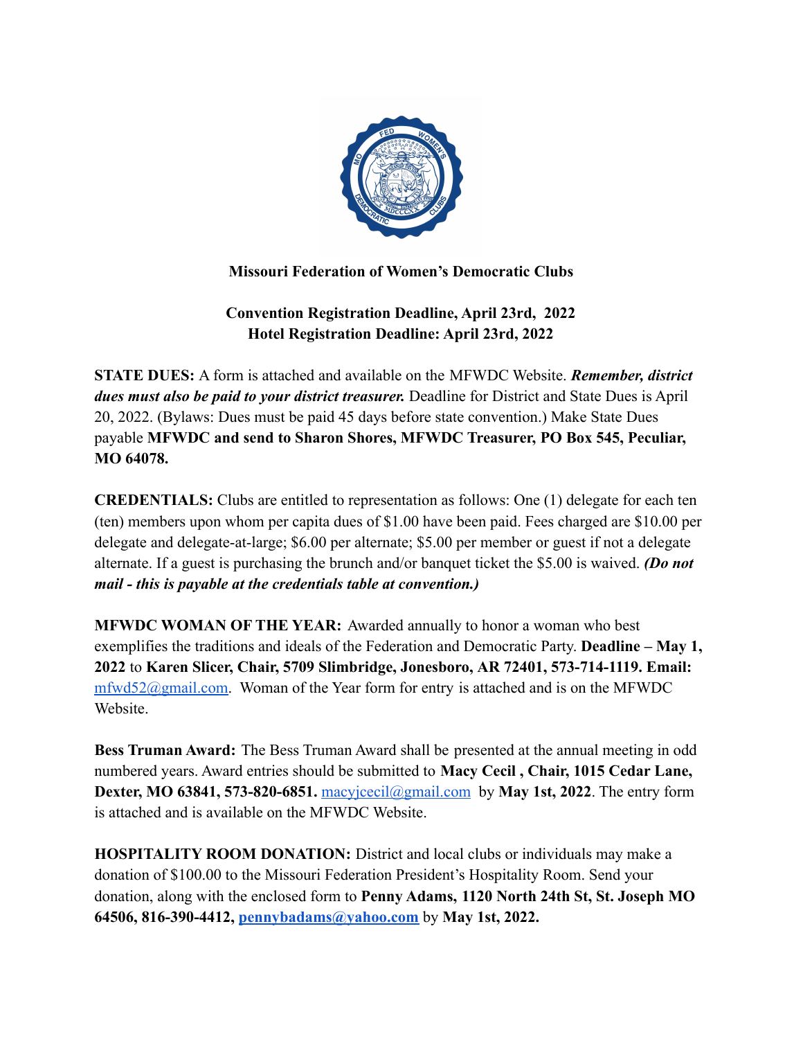

### **Missouri Federation of Women's Democratic Clubs**

## **Convention Registration Deadline, April 23rd, 2022 Hotel Registration Deadline: April 23rd, 2022**

**STATE DUES:** A form is attached and available on the MFWDC Website. *Remember, district dues must also be paid to your district treasurer.* Deadline for District and State Dues is April 20, 2022. (Bylaws: Dues must be paid 45 days before state convention.) Make State Dues payable **MFWDC and send to Sharon Shores, MFWDC Treasurer, PO Box 545, Peculiar, MO 64078.**

**CREDENTIALS:** Clubs are entitled to representation as follows: One (1) delegate for each ten (ten) members upon whom per capita dues of \$1.00 have been paid. Fees charged are \$10.00 per delegate and delegate-at-large; \$6.00 per alternate; \$5.00 per member or guest if not a delegate alternate. If a guest is purchasing the brunch and/or banquet ticket the \$5.00 is waived. *(Do not mail - this is payable at the credentials table at convention.)*

**MFWDC WOMAN OF THE YEAR:** Awarded annually to honor a woman who best exemplifies the traditions and ideals of the Federation and Democratic Party. **Deadline – May 1, 2022** to **Karen Slicer, Chair, 5709 Slimbridge, Jonesboro, AR 72401, 573-714-1119. Email:**  $m\frac{fwd52}{\omega}$ gmail.com. Woman of the Year form for entry is attached and is on the MFWDC Website.

**Bess Truman Award:** The Bess Truman Award shall be presented at the annual meeting in odd numbered years. Award entries should be submitted to **Macy Cecil , Chair, 1015 Cedar Lane, Dexter, MO 63841, 573-820-6851.** macy  $\text{cecil}(\text{Qgmail.com})$  by **May 1st, 2022**. The entry form is attached and is available on the MFWDC Website.

**HOSPITALITY ROOM DONATION:** District and local clubs or individuals may make a donation of \$100.00 to the Missouri Federation President's Hospitality Room. Send your donation, along with the enclosed form to **Penny Adams, 1120 North 24th St, St. Joseph MO 64506, 816-390-4412, [pennybadams@yahoo.com](mailto:pennybadams@yahoo.com)** by **May 1st, 2022.**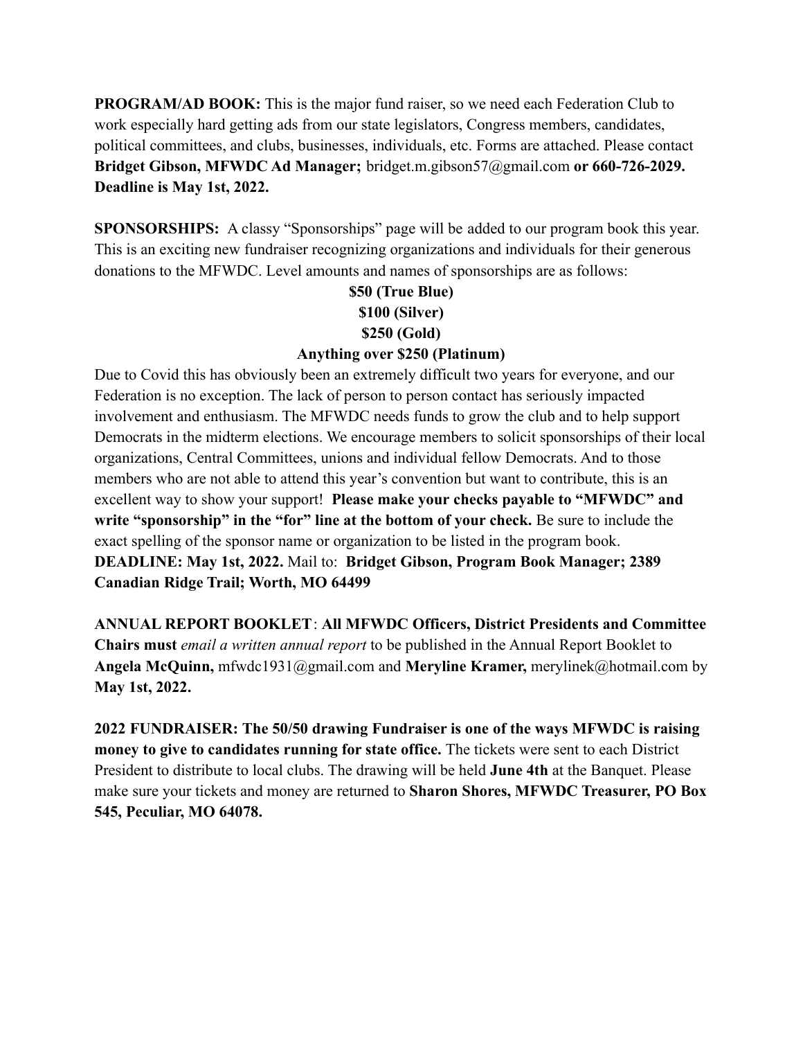**PROGRAM/AD BOOK:** This is the major fund raiser, so we need each Federation Club to work especially hard getting ads from our state legislators, Congress members, candidates, political committees, and clubs, businesses, individuals, etc. Forms are attached. Please contact **Bridget Gibson, MFWDC Ad Manager;** bridget.m.gibson57@gmail.com **or 660-726-2029. Deadline is May 1st, 2022.**

**SPONSORSHIPS:** A classy "Sponsorships" page will be added to our program book this year. This is an exciting new fundraiser recognizing organizations and individuals for their generous donations to the MFWDC. Level amounts and names of sponsorships are as follows:

# **\$50 (True Blue) \$100 (Silver) \$250 (Gold)**

### **Anything over \$250 (Platinum)**

Due to Covid this has obviously been an extremely difficult two years for everyone, and our Federation is no exception. The lack of person to person contact has seriously impacted involvement and enthusiasm. The MFWDC needs funds to grow the club and to help support Democrats in the midterm elections. We encourage members to solicit sponsorships of their local organizations, Central Committees, unions and individual fellow Democrats. And to those members who are not able to attend this year's convention but want to contribute, this is an excellent way to show your support! **Please make your checks payable to "MFWDC" and write "sponsorship" in the "for" line at the bottom of your check.** Be sure to include the exact spelling of the sponsor name or organization to be listed in the program book. **DEADLINE: May 1st, 2022.** Mail to: **Bridget Gibson, Program Book Manager; 2389 Canadian Ridge Trail; Worth, MO 64499**

**ANNUAL REPORT BOOKLET**: **All MFWDC Officers, District Presidents and Committee Chairs must** *email a written annual report* to be published in the Annual Report Booklet to **Angela McQuinn,** mfwdc1931@gmail.com and **Meryline Kramer,** merylinek@hotmail.com by **May 1st, 2022.**

**2022 FUNDRAISER: The 50/50 drawing Fundraiser is one of the ways MFWDC is raising money to give to candidates running for state office.** The tickets were sent to each District President to distribute to local clubs. The drawing will be held **June 4th** at the Banquet. Please make sure your tickets and money are returned to **Sharon Shores, MFWDC Treasurer, PO Box 545, Peculiar, MO 64078.**